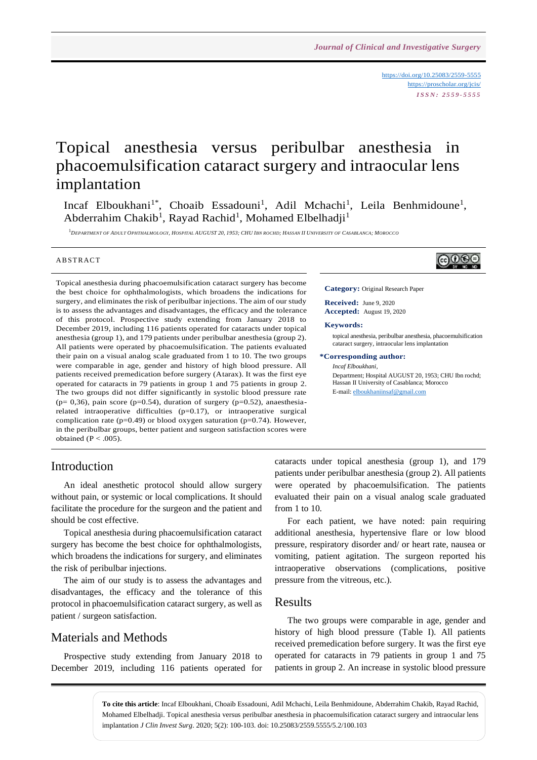<https://doi.org/10.25083/2559-5555> <https://proscholar.org/jcis/> *I S S N : 2 5 5 9 - 5 5 5 5*

# Topical anesthesia versus peribulbar anesthesia in phacoemulsification cataract surgery and intraocular lens implantation

Incaf Elboukhani<sup>1\*</sup>, Choaib Essadouni<sup>1</sup>, Adil Mchachi<sup>1</sup>, Leila Benhmidoune<sup>1</sup>, Abderrahim Chakib<sup>1</sup>, Rayad Rachid<sup>1</sup>, Mohamed Elbelhadji<sup>1</sup>

<sup>1</sup> DEPARTMENT OF ADULT OPHTHALMOLOGY, HOSPITAL AUGUST 20, 1953; CHU IBN ROCHD; HASSAN II UNIVERSITY OF CASABLANCA; MOROCCO

#### **ABSTRACT**

Topical anesthesia during phacoemulsification cataract surgery has become the best choice for ophthalmologists, which broadens the indications for surgery, and eliminates the risk of peribulbar injections. The aim of our study is to assess the advantages and disadvantages, the efficacy and the tolerance of this protocol. Prospective study extending from January 2018 to December 2019, including 116 patients operated for cataracts under topical anesthesia (group 1), and 179 patients under peribulbar anesthesia (group 2). All patients were operated by phacoemulsification. The patients evaluated their pain on a visual analog scale graduated from 1 to 10. The two groups were comparable in age, gender and history of high blood pressure. All patients received premedication before surgery (Atarax). It was the first eye operated for cataracts in 79 patients in group 1 and 75 patients in group 2. The two groups did not differ significantly in systolic blood pressure rate ( $p= 0,36$ ), pain score ( $p=0.54$ ), duration of surgery ( $p=0.52$ ), anaesthesiarelated intraoperative difficulties (p=0.17), or intraoperative surgical complication rate (p=0.49) or blood oxygen saturation (p=0.74). However, in the peribulbar groups, better patient and surgeon satisfaction scores were obtained ( $P < .005$ ).



**Category:** Original Research Paper

**Received:** June 9, 2020 **Accepted:** August 19, 2020

#### **Keywords:**

topical anesthesia, peribulbar anesthesia, phacoemulsification cataract surgery, intraocular lens implantation

#### **\*Corresponding author:**

*Incaf Elboukhani,*  Department; Hospital AUGUST 20, 1953; CHU Ibn rochd; Hassan II University of Casablanca; Morocco E-mail[: elboukhaniinsaf@gmail.com](mailto:elboukhaniinsaf@gmail.com)

#### Introduction

An ideal anesthetic protocol should allow surgery without pain, or systemic or local complications. It should facilitate the procedure for the surgeon and the patient and should be cost effective.

Topical anesthesia during phacoemulsification cataract surgery has become the best choice for ophthalmologists, which broadens the indications for surgery, and eliminates the risk of peribulbar injections.

The aim of our study is to assess the advantages and disadvantages, the efficacy and the tolerance of this protocol in phacoemulsification cataract surgery, as well as patient / surgeon satisfaction.

#### Materials and Methods

Prospective study extending from January 2018 to December 2019, including 116 patients operated for cataracts under topical anesthesia (group 1), and 179 patients under peribulbar anesthesia (group 2). All patients were operated by phacoemulsification. The patients evaluated their pain on a visual analog scale graduated from 1 to 10.

For each patient, we have noted: pain requiring additional anesthesia, hypertensive flare or low blood pressure, respiratory disorder and/ or heart rate, nausea or vomiting, patient agitation. The surgeon reported his intraoperative observations (complications, positive pressure from the vitreous, etc.).

#### Results

The two groups were comparable in age, gender and history of high blood pressure (Table I). All patients received premedication before surgery. It was the first eye operated for cataracts in 79 patients in group 1 and 75 patients in group 2. An increase in systolic blood pressure

**To cite this article**: Incaf Elboukhani, Choaib Essadouni, Adil Mchachi, Leila Benhmidoune, Abderrahim Chakib, Rayad Rachid, Mohamed Elbelhadji. Topical anesthesia versus peribulbar anesthesia in phacoemulsification cataract surgery and intraocular lens implantation *J Clin Invest Surg*. 2020; 5(2): 100-103. doi: 10.25083/2559.5555/5.2/100.103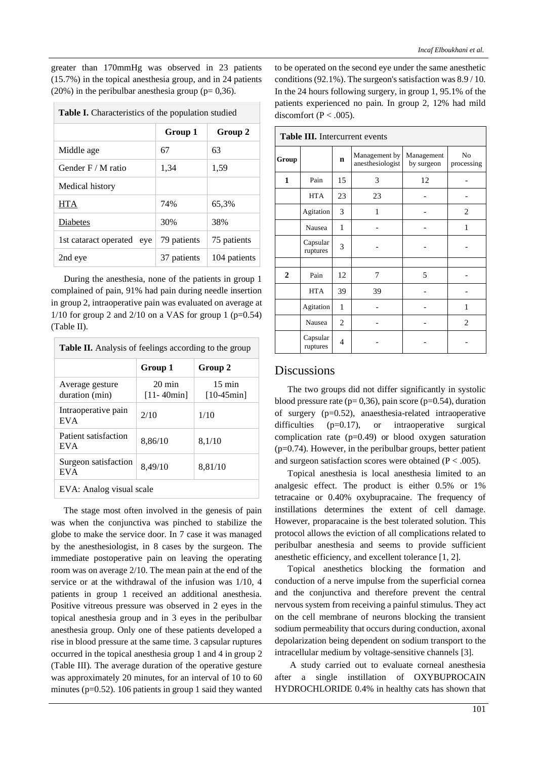greater than 170mmHg was observed in 23 patients (15.7%) in the topical anesthesia group, and in 24 patients  $(20\%)$  in the peribulbar anesthesia group (p= 0,36).

| <b>Table I.</b> Characteristics of the population studied |             |              |  |  |  |
|-----------------------------------------------------------|-------------|--------------|--|--|--|
|                                                           | Group 1     | Group 2      |  |  |  |
| Middle age                                                | 67          | 63           |  |  |  |
| Gender $F/M$ ratio                                        | 1,34        | 1,59         |  |  |  |
| Medical history                                           |             |              |  |  |  |
| HTA                                                       | 74%         | 65,3%        |  |  |  |
| Diabetes                                                  | 30%         | 38%          |  |  |  |
| 1st cataract operated eye                                 | 79 patients | 75 patients  |  |  |  |
| 2nd eye                                                   | 37 patients | 104 patients |  |  |  |

During the anesthesia, none of the patients in group 1 complained of pain, 91% had pain during needle insertion in group 2, intraoperative pain was evaluated on average at  $1/10$  for group 2 and  $2/10$  on a VAS for group 1 (p=0.54) (Table II).

| <b>Table II.</b> Analysis of feelings according to the group |                                    |                                  |  |  |  |
|--------------------------------------------------------------|------------------------------------|----------------------------------|--|--|--|
|                                                              | Group 1                            | Group 2                          |  |  |  |
| Average gesture<br>duration (min)                            | $20 \text{ min}$<br>$[11 - 40min]$ | $15 \text{ min}$<br>$[10-45min]$ |  |  |  |
| Intraoperative pain<br><b>EVA</b>                            | 2/10                               | 1/10                             |  |  |  |
| Patient satisfaction<br><b>EVA</b>                           | 8,86/10                            | 8,1/10                           |  |  |  |
| Surgeon satisfaction<br><b>EVA</b>                           | 8,49/10                            | 8,81/10                          |  |  |  |
| EVA: Analog visual scale                                     |                                    |                                  |  |  |  |

The stage most often involved in the genesis of pain was when the conjunctiva was pinched to stabilize the globe to make the service door. In 7 case it was managed by the anesthesiologist, in 8 cases by the surgeon. The immediate postoperative pain on leaving the operating room was on average 2/10. The mean pain at the end of the service or at the withdrawal of the infusion was 1/10, 4 patients in group 1 received an additional anesthesia. Positive vitreous pressure was observed in 2 eyes in the topical anesthesia group and in 3 eyes in the peribulbar anesthesia group. Only one of these patients developed a rise in blood pressure at the same time. 3 capsular ruptures occurred in the topical anesthesia group 1 and 4 in group 2 (Table III). The average duration of the operative gesture was approximately 20 minutes, for an interval of 10 to 60 minutes ( $p=0.52$ ). 106 patients in group 1 said they wanted to be operated on the second eye under the same anesthetic conditions (92.1%). The surgeon's satisfaction was 8.9 / 10. In the 24 hours following surgery, in group 1, 95.1% of the patients experienced no pain. In group 2, 12% had mild discomfort ( $P < .005$ ).

|                | Table III. Intercurrent events |    |                                   |                          |                  |  |  |  |
|----------------|--------------------------------|----|-----------------------------------|--------------------------|------------------|--|--|--|
| Group          |                                | n  | Management by<br>anesthesiologist | Management<br>by surgeon | No<br>processing |  |  |  |
| 1              | Pain                           | 15 | 3                                 | 12                       |                  |  |  |  |
|                | <b>HTA</b>                     | 23 | 23                                |                          |                  |  |  |  |
|                | Agitation                      | 3  | 1                                 |                          | 2                |  |  |  |
|                | Nausea                         | 1  |                                   |                          | 1                |  |  |  |
|                | Capsular<br>ruptures           | 3  |                                   |                          |                  |  |  |  |
|                |                                |    |                                   |                          |                  |  |  |  |
| $\overline{2}$ | Pain                           | 12 | 7                                 | 5                        |                  |  |  |  |
|                | <b>HTA</b>                     | 39 | 39                                |                          |                  |  |  |  |
|                | Agitation                      | 1  |                                   |                          | 1                |  |  |  |
|                | Nausea                         | 2  |                                   |                          | $\overline{c}$   |  |  |  |
|                | Capsular<br>ruptures           | 4  |                                   |                          |                  |  |  |  |

# **Table III.** Intercurrent events

## **Discussions**

The two groups did not differ significantly in systolic blood pressure rate ( $p= 0,36$ ), pain score ( $p=0.54$ ), duration of surgery (p=0.52), anaesthesia-related intraoperative difficulties (p=0.17), or intraoperative surgical complication rate (p=0.49) or blood oxygen saturation (p=0.74). However, in the peribulbar groups, better patient and surgeon satisfaction scores were obtained ( $P < .005$ ).

Topical anesthesia is local anesthesia limited to an analgesic effect. The product is either 0.5% or 1% tetracaine or 0.40% oxybupracaine. The frequency of instillations determines the extent of cell damage. However, proparacaine is the best tolerated solution. This protocol allows the eviction of all complications related to peribulbar anesthesia and seems to provide sufficient anesthetic efficiency, and excellent tolerance [1, 2].

Topical anesthetics blocking the formation and conduction of a nerve impulse from the superficial cornea and the conjunctiva and therefore prevent the central nervous system from receiving a painful stimulus. They act on the cell membrane of neurons blocking the transient sodium permeability that occurs during conduction, axonal depolarization being dependent on sodium transport to the intracellular medium by voltage-sensitive channels [3].

A study carried out to evaluate corneal anesthesia after a single instillation of OXYBUPROCAIN HYDROCHLORIDE 0.4% in healthy cats has shown that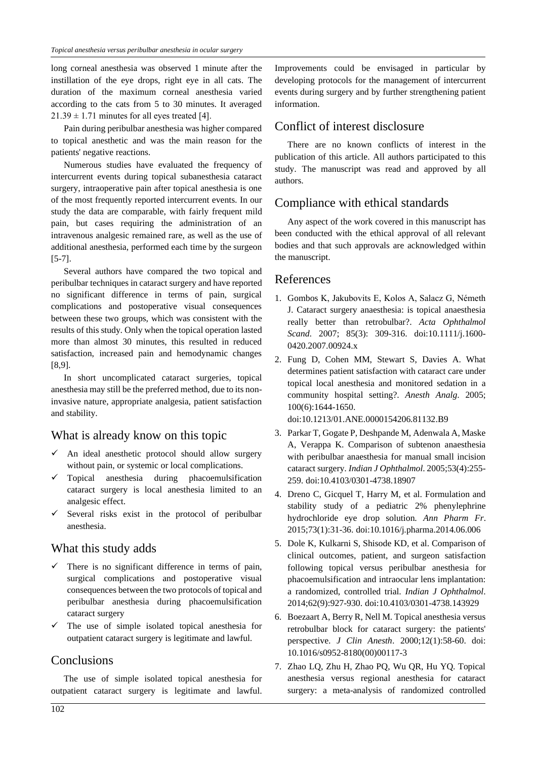long corneal anesthesia was observed 1 minute after the instillation of the eye drops, right eye in all cats. The duration of the maximum corneal anesthesia varied according to the cats from 5 to 30 minutes. It averaged  $21.39 \pm 1.71$  minutes for all eyes treated [4].

Pain during peribulbar anesthesia was higher compared to topical anesthetic and was the main reason for the patients' negative reactions.

Numerous studies have evaluated the frequency of intercurrent events during topical subanesthesia cataract surgery, intraoperative pain after topical anesthesia is one of the most frequently reported intercurrent events. In our study the data are comparable, with fairly frequent mild pain, but cases requiring the administration of an intravenous analgesic remained rare, as well as the use of additional anesthesia, performed each time by the surgeon [5-7].

Several authors have compared the two topical and peribulbar techniques in cataract surgery and have reported no significant difference in terms of pain, surgical complications and postoperative visual consequences between these two groups, which was consistent with the results of this study. Only when the topical operation lasted more than almost 30 minutes, this resulted in reduced satisfaction, increased pain and hemodynamic changes [8,9].

In short uncomplicated cataract surgeries, topical anesthesia may still be the preferred method, due to its noninvasive nature, appropriate analgesia, patient satisfaction and stability.

## What is already know on this topic

- $\checkmark$  An ideal anesthetic protocol should allow surgery without pain, or systemic or local complications.
- ✓ Topical anesthesia during phacoemulsification cataract surgery is local anesthesia limited to an analgesic effect.
- $\checkmark$  Several risks exist in the protocol of peribulbar anesthesia.

#### What this study adds

- $\checkmark$  There is no significant difference in terms of pain, surgical complications and postoperative visual consequences between the two protocols of topical and peribulbar anesthesia during phacoemulsification cataract surgery
- The use of simple isolated topical anesthesia for outpatient cataract surgery is legitimate and lawful.

## **Conclusions**

The use of simple isolated topical anesthesia for outpatient cataract surgery is legitimate and lawful.

Improvements could be envisaged in particular by developing protocols for the management of intercurrent events during surgery and by further strengthening patient information.

#### Conflict of interest disclosure

There are no known conflicts of interest in the publication of this article. All authors participated to this study. The manuscript was read and approved by all authors.

#### Compliance with ethical standards

Any aspect of the work covered in this manuscript has been conducted with the ethical approval of all relevant bodies and that such approvals are acknowledged within the manuscript.

## References

- 1. Gombos K, Jakubovits E, Kolos A, Salacz G, Németh J. Cataract surgery anaesthesia: is topical anaesthesia really better than retrobulbar?. *Acta Ophthalmol Scand*. 2007; 85(3): 309-316. doi:10.1111/j.1600- 0420.2007.00924.x
- 2. Fung D, Cohen MM, Stewart S, Davies A. What determines patient satisfaction with cataract care under topical local anesthesia and monitored sedation in a community hospital setting?. *Anesth Analg*. 2005; 100(6):1644-1650.

doi:10.1213/01.ANE.0000154206.81132.B9

- 3. Parkar T, Gogate P, Deshpande M, Adenwala A, Maske A, Verappa K. Comparison of subtenon anaesthesia with peribulbar anaesthesia for manual small incision cataract surgery. *Indian J Ophthalmol*. 2005;53(4):255- 259. doi:10.4103/0301-4738.18907
- 4. Dreno C, Gicquel T, Harry M, et al. Formulation and stability study of a pediatric 2% phenylephrine hydrochloride eye drop solution. *Ann Pharm Fr*. 2015;73(1):31-36. doi:10.1016/j.pharma.2014.06.006
- 5. Dole K, Kulkarni S, Shisode KD, et al. Comparison of clinical outcomes, patient, and surgeon satisfaction following topical versus peribulbar anesthesia for phacoemulsification and intraocular lens implantation: a randomized, controlled trial. *Indian J Ophthalmol*. 2014;62(9):927-930. doi:10.4103/0301-4738.143929
- 6. Boezaart A, Berry R, Nell M. Topical anesthesia versus retrobulbar block for cataract surgery: the patients' perspective. *J Clin Anesth*. 2000;12(1):58-60. doi: 10.1016/s0952-8180(00)00117-3
- 7. Zhao LQ, Zhu H, Zhao PQ, Wu QR, Hu YQ. Topical anesthesia versus regional anesthesia for cataract surgery: a meta-analysis of randomized controlled